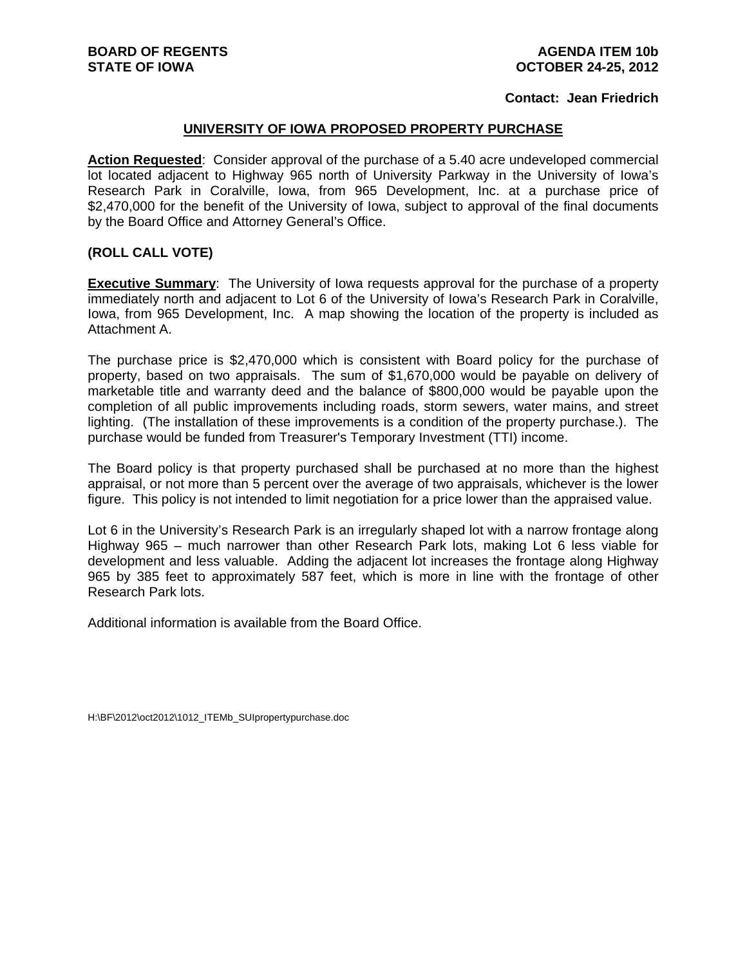## **Contact: Jean Friedrich**

## **UNIVERSITY OF IOWA PROPOSED PROPERTY PURCHASE**

**Action Requested**: Consider approval of the purchase of a 5.40 acre undeveloped commercial lot located adjacent to Highway 965 north of University Parkway in the University of Iowa's Research Park in Coralville, Iowa, from 965 Development, Inc. at a purchase price of \$2,470,000 for the benefit of the University of Iowa, subject to approval of the final documents by the Board Office and Attorney General's Office.

## **(ROLL CALL VOTE)**

**Executive Summary**: The University of Iowa requests approval for the purchase of a property immediately north and adjacent to Lot 6 of the University of Iowa's Research Park in Coralville, Iowa, from 965 Development, Inc. A map showing the location of the property is included as Attachment A.

The purchase price is \$2,470,000 which is consistent with Board policy for the purchase of property, based on two appraisals. The sum of \$1,670,000 would be payable on delivery of marketable title and warranty deed and the balance of \$800,000 would be payable upon the completion of all public improvements including roads, storm sewers, water mains, and street lighting. (The installation of these improvements is a condition of the property purchase.). The purchase would be funded from Treasurer's Temporary Investment (TTI) income.

The Board policy is that property purchased shall be purchased at no more than the highest appraisal, or not more than 5 percent over the average of two appraisals, whichever is the lower figure. This policy is not intended to limit negotiation for a price lower than the appraised value.

Lot 6 in the University's Research Park is an irregularly shaped lot with a narrow frontage along Highway 965 – much narrower than other Research Park lots, making Lot 6 less viable for development and less valuable. Adding the adjacent lot increases the frontage along Highway 965 by 385 feet to approximately 587 feet, which is more in line with the frontage of other Research Park lots.

Additional information is available from the Board Office.

H:\BF\2012\oct2012\1012\_ITEMb\_SUIpropertypurchase.doc